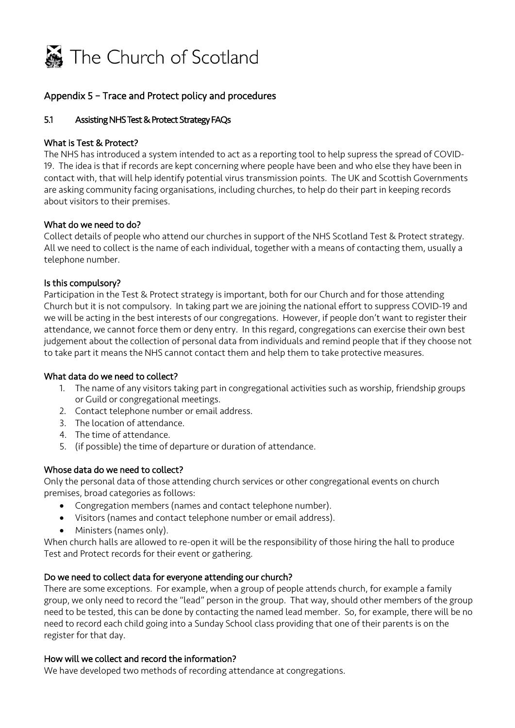

# Appendix 5 – Trace and Protect policy and procedures

#### Assisting NHS Test & Protect Strategy FAQs 5.1

#### What is Test & Protect?

 contact with, that will help identify potential virus transmission points. The UK and Scottish Governments The NHS has introduced a system intended to act as a reporting tool to help supress the spread of COVID-19. The idea is that if records are kept concerning where people have been and who else they have been in are asking community facing organisations, including churches, to help do their part in keeping records about visitors to their premises.

#### What do we need to do?

 Collect details of people who attend our churches in support of the NHS Scotland Test & Protect strategy. All we need to collect is the name of each individual, together with a means of contacting them, usually a telephone number.

#### Is this compulsory?

 Participation in the Test & Protect strategy is important, both for our Church and for those attending Church but it is not compulsory. In taking part we are joining the national effort to suppress COVID-19 and we will be acting in the best interests of our congregations. However, if people don't want to register their attendance, we cannot force them or deny entry. In this regard, congregations can exercise their own best judgement about the collection of personal data from individuals and remind people that if they choose not to take part it means the NHS cannot contact them and help them to take protective measures.

#### What data do we need to collect?

- or Guild or congregational meetings. 1. The name of any visitors taking part in congregational activities such as worship, friendship groups
- 2. Contact telephone number or email address.
- 3. The location of attendance.
- 4. The time of attendance.
- 5. (if possible) the time of departure or duration of attendance.

## Whose data do we need to collect?

 Only the personal data of those attending church services or other congregational events on church premises, broad categories as follows:

- Congregation members (names and contact telephone number).
- Visitors (names and contact telephone number or email address).
- Ministers (names only).

 When church halls are allowed to re-open it will be the responsibility of those hiring the hall to produce Test and Protect records for their event or gathering.

# Test and Protect records for their event or gathering.<br>Do we need to collect data for everyone attending our church?

 There are some exceptions. For example, when a group of people attends church, for example a family group, we only need to record the "lead" person in the group. That way, should other members of the group need to be tested, this can be done by contacting the named lead member. So, for example, there will be no need to record each child going into a Sunday School class providing that one of their parents is on the register for that day.

#### How will we collect and record the information?

We have developed two methods of recording attendance at congregations.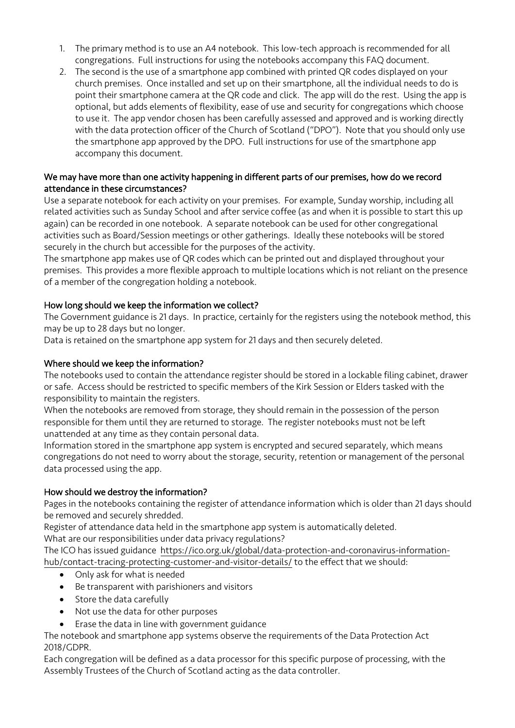- 1. The primary method is to use an A4 notebook. This low-tech approach is recommended for all congregations. Full instructions for using the notebooks accompany this FAQ document.
- church premises. Once installed and set up on their smartphone, all the individual needs to do is point their smartphone camera at the QR code and click. The app will do the rest. Using the app is optional, but adds elements of flexibility, ease of use and security for congregations which choose to use it. The app vendor chosen has been carefully assessed and approved and is working directly with the data protection officer of the Church of Scotland ("DPO"). Note that you should only use the smartphone app approved by the DPO. Full instructions for use of the smartphone app 2. The second is the use of a smartphone app combined with printed QR codes displayed on your accompany this document.

## We may have more than one activity happening in different parts of our premises, how do we record attendance in these circumstances?

 Use a separate notebook for each activity on your premises. For example, Sunday worship, including all related activities such as Sunday School and after service coffee (as and when it is possible to start this up again) can be recorded in one notebook. A separate notebook can be used for other congregational activities such as Board/Session meetings or other gatherings. Ideally these notebooks will be stored securely in the church but accessible for the purposes of the activity.

 The smartphone app makes use of QR codes which can be printed out and displayed throughout your of a member of the congregation holding a notebook. premises. This provides a more flexible approach to multiple locations which is not reliant on the presence

# How long should we keep the information we collect?

 The Government guidance is 21 days. In practice, certainly for the registers using the notebook method, this may be up to 28 days but no longer.

Data is retained on the smartphone app system for 21 days and then securely deleted.

## Where should we keep the information?

 The notebooks used to contain the attendance register should be stored in a lockable filing cabinet, drawer or safe. Access should be restricted to specific members of the Kirk Session or Elders tasked with the responsibility to maintain the registers.

 When the notebooks are removed from storage, they should remain in the possession of the person responsible for them until they are returned to storage. The register notebooks must not be left unattended at any time as they contain personal data.

Information stored in the smartphone app system is encrypted and secured separately, which means congregations do not need to worry about the storage, security, retention or management of the personal data processed using the app.

## How should we destroy the information?

 Pages in the notebooks containing the register of attendance information which is older than 21 days should be removed and securely shredded.

Register of attendance data held in the smartphone app system is automatically deleted.

What are our responsibilities under data privacy regulations?

The ICO has issued guidance <https://ico.org.uk/global/data-protection-and-coronavirus-information>hub/contact-tracing-protecting-customer-and-visitor-details/ to the effect that we should:

- Only ask for what is needed
- Be transparent with parishioners and visitors
- Store the data carefully
- Not use the data for other purposes
- Erase the data in line with government guidance

The notebook and smartphone app systems observe the requirements of the Data Protection Act 2018/GDPR.

 Each congregation will be defined as a data processor for this specific purpose of processing, with the Assembly Trustees of the Church of Scotland acting as the data controller.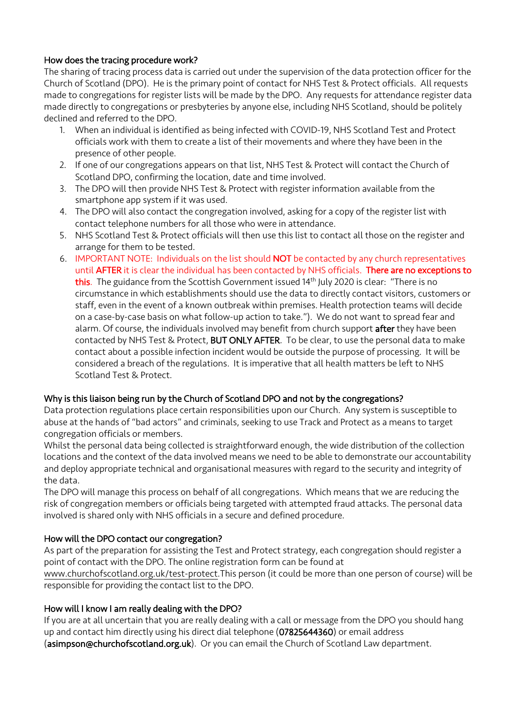# How does the tracing procedure work?

 The sharing of tracing process data is carried out under the supervision of the data protection officer for the made to congregations for register lists will be made by the DPO. Any requests for attendance register data made directly to congregations or presbyteries by anyone else, including NHS Scotland, should be politely Church of Scotland (DPO). He is the primary point of contact for NHS Test & Protect officials. All requests declined and referred to the DPO.

- 1. When an individual is identified as being infected with COVID-19, NHS Scotland Test and Protect officials work with them to create a list of their movements and where they have been in the presence of other people.
- 2. If one of our congregations appears on that list, NHS Test & Protect will contact the Church of Scotland DPO, confirming the location, date and time involved.
- 3. The DPO will then provide NHS Test & Protect with register information available from the smartphone app system if it was used.
- 4. The DPO will also contact the congregation involved, asking for a copy of the register list with contact telephone numbers for all those who were in attendance.
- 5. NHS Scotland Test & Protect officials will then use this list to contact all those on the register and arrange for them to be tested.
- on a case-by-case basis on what follow-up action to take."). We do not want to spread fear and contact about a possible infection incident would be outside the purpose of processing. It will be considered a breach of the regulations. It is imperative that all health matters be left to NHS 6. IMPORTANT NOTE: Individuals on the list should NOT be contacted by any church representatives until AFTER it is clear the individual has been contacted by NHS officials. There are no exceptions to this. The guidance from the Scottish Government issued 14<sup>th</sup> July 2020 is clear: "There is no circumstance in which establishments should use the data to directly contact visitors, customers or staff, even in the event of a known outbreak within premises. Health protection teams will decide alarm. Of course, the individuals involved may benefit from church support after they have been contacted by NHS Test & Protect, BUT ONLY AFTER. To be clear, to use the personal data to make Scotland Test & Protect.

#### Why is this liaison being run by the Church of Scotland DPO and not by the congregations?

 Data protection regulations place certain responsibilities upon our Church. Any system is susceptible to abuse at the hands of "bad actors" and criminals, seeking to use Track and Protect as a means to target congregation officials or members.

 Whilst the personal data being collected is straightforward enough, the wide distribution of the collection locations and the context of the data involved means we need to be able to demonstrate our accountability and deploy appropriate technical and organisational measures with regard to the security and integrity of the data.

 The DPO will manage this process on behalf of all congregations. Which means that we are reducing the risk of congregation members or officials being targeted with attempted fraud attacks. The personal data involved is shared only with NHS officials in a secure and defined procedure.

## How will the DPO contact our congregation?

 As part of the preparation for assisting the Test and Protect strategy, each congregation should register a point of contact with the DPO. The online registration form can be found at

 [www.churchofscotland.org.uk/test-protect.This](https://www.churchofscotland.org.uk/test-protect) person (it could be more than one person of course) will be responsible for providing the contact list to the DPO.

#### How will I know I am really dealing with the DPO?

 up and contact him directly using his direct dial telephone (07825644360) or email address If you are at all uncertain that you are really dealing with a call or message from the DPO you should hang (asimpson@churchofscotland.org.uk). Or you can email the Church of Scotland Law department.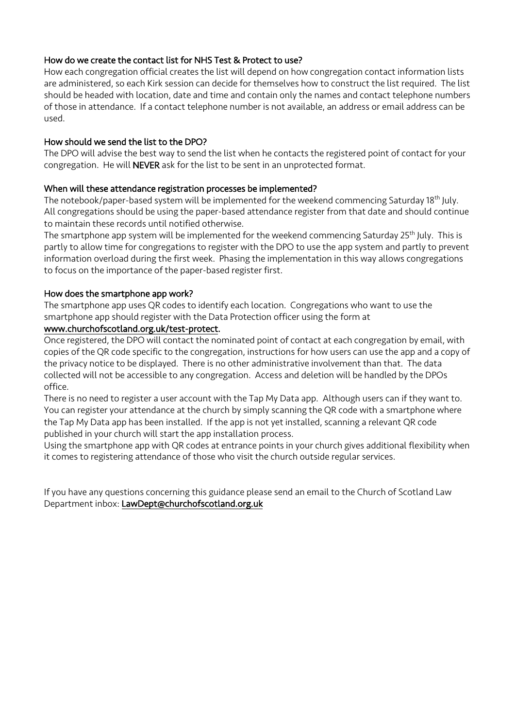#### How do we create the contact list for NHS Test & Protect to use?

 How each congregation official creates the list will depend on how congregation contact information lists of those in attendance. If a contact telephone number is not available, an address or email address can be are administered, so each Kirk session can decide for themselves how to construct the list required. The list should be headed with location, date and time and contain only the names and contact telephone numbers used.

#### How should we send the list to the DPO?

 The DPO will advise the best way to send the list when he contacts the registered point of contact for your congregation. He will NEVER ask for the list to be sent in an unprotected format.

#### When will these attendance registration processes be implemented?

The notebook/paper-based system will be implemented for the weekend commencing Saturday 18<sup>th</sup> July. All congregations should be using the paper-based attendance register from that date and should continue to maintain these records until notified otherwise.

The smartphone app system will be implemented for the weekend commencing Saturday 25<sup>th</sup> July. This is partly to allow time for congregations to register with the DPO to use the app system and partly to prevent to focus on the importance of the paper-based register first. information overload during the first week. Phasing the implementation in this way allows congregations

#### How does the smartphone app work?

 The smartphone app uses QR codes to identify each location. Congregations who want to use the smartphone app should register with the Data Protection officer using the form at

# <www.churchofscotland.org.uk/test-protect>.

 Once registered, the DPO will contact the nominated point of contact at each congregation by email, with the privacy notice to be displayed. There is no other administrative involvement than that. The data collected will not be accessible to any congregation. Access and deletion will be handled by the DPOs copies of the QR code specific to the congregation, instructions for how users can use the app and a copy of office.

 There is no need to register a user account with the Tap My Data app. Although users can if they want to. You can register your attendance at the church by simply scanning the QR code with a smartphone where the Tap My Data app has been installed. If the app is not yet installed, scanning a relevant QR code published in your church will start the app installation process.

 Using the smartphone app with QR codes at entrance points in your church gives additional flexibility when it comes to registering attendance of those who visit the church outside regular services.

 Department inbox: LawDept@churchofscotland.org.uk If you have any questions concerning this guidance please send an email to the Church of Scotland Law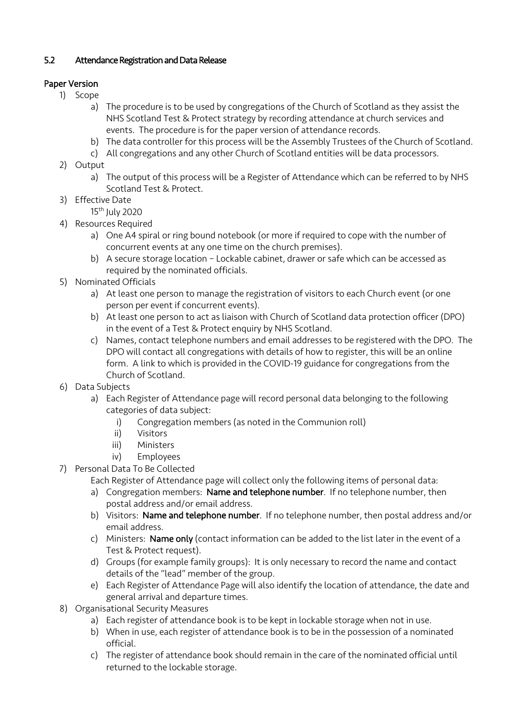# 5.2 Attendance Registration and Data Release

# Paper Version

- 1) Scope
	- NHS Scotland Test & Protect strategy by recording attendance at church services and events. The procedure is for the paper version of attendance records. a) The procedure is to be used by congregations of the Church of Scotland as they assist the
	- b) The data controller for this process will be the Assembly Trustees of the Church of Scotland.
	- c) All congregations and any other Church of Scotland entities will be data processors.
- 2) Output
	- a) The output of this process will be a Register of Attendance which can be referred to by NHS Scotland Test & Protect.
- 3) Effective Date
	- 15th July 2020
- 4) Resources Required
	- a) One A4 spiral or ring bound notebook (or more if required to cope with the number of concurrent events at any one time on the church premises).
	- b) A secure storage location Lockable cabinet, drawer or safe which can be accessed as required by the nominated officials.
- 5) Nominated Officials
	- a) At least one person to manage the registration of visitors to each Church event (or one person per event if concurrent events).
	- b) At least one person to act as liaison with Church of Scotland data protection officer (DPO) in the event of a Test & Protect enquiry by NHS Scotland.
	- c) Names, contact telephone numbers and email addresses to be registered with the DPO. The DPO will contact all congregations with details of how to register, this will be an online form. A link to which is provided in the COVID-19 guidance for congregations from the Church of Scotland.
- 6) Data Subjects
	- a) Each Register of Attendance page will record personal data belonging to the following categories of data subject:
		- i) Congregation members (as noted in the Communion roll)
		- ii) Visitors
		- iii) Ministers
		- iv) Employees
- 7) Personal Data To Be Collected
	- Each Register of Attendance page will collect only the following items of personal data:
	- a) Congregation members: Name and telephone number. If no telephone number, then postal address and/or email address.
	- b) Visitors: Name and telephone number. If no telephone number, then postal address and/or email address.
	- c) Ministers: Name only (contact information can be added to the list later in the event of a Test & Protect request).
	- d) Groups (for example family groups): It is only necessary to record the name and contact details of the "lead" member of the group.
	- e) Each Register of Attendance Page will also identify the location of attendance, the date and general arrival and departure times.
- 8) Organisational Security Measures
	- a) Each register of attendance book is to be kept in lockable storage when not in use.
	- b) When in use, each register of attendance book is to be in the possession of a nominated official.
	- c) The register of attendance book should remain in the care of the nominated official until returned to the lockable storage.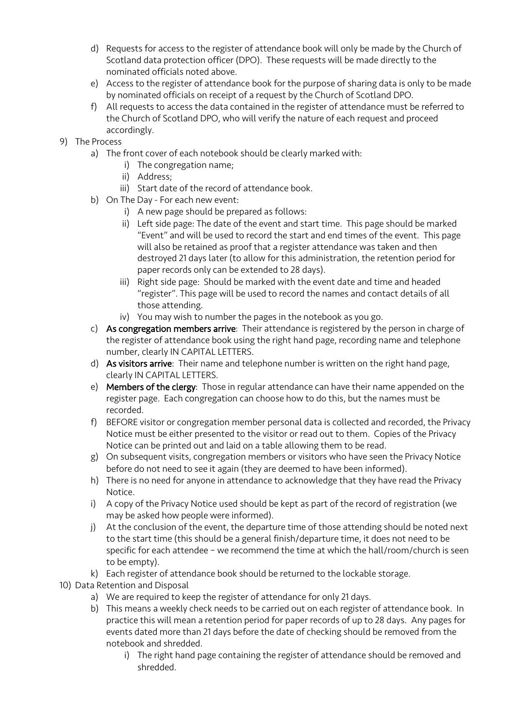- d) Requests for access to the register of attendance book will only be made by the Church of Scotland data protection officer (DPO). These requests will be made directly to the nominated officials noted above.
- e) Access to the register of attendance book for the purpose of sharing data is only to be made by nominated officials on receipt of a request by the Church of Scotland DPO.
- f) All requests to access the data contained in the register of attendance must be referred to the Church of Scotland DPO, who will verify the nature of each request and proceed accordingly.
- 9) The Process
	- a) The front cover of each notebook should be clearly marked with:
		- i) The congregation name;
		- ii) Address;
		- iii) Start date of the record of attendance book.
	- b) On The Day For each new event:
		- i) A new page should be prepared as follows:
		- ii) Left side page: The date of the event and start time. This page should be marked "Event" and will be used to record the start and end times of the event. This page will also be retained as proof that a register attendance was taken and then destroyed 21 days later (to allow for this administration, the retention period for paper records only can be extended to 28 days).
		- iii) Right side page: Should be marked with the event date and time and headed "register". This page will be used to record the names and contact details of all those attending.
		- iv) You may wish to number the pages in the notebook as you go.
	- number, clearly IN CAPITAL LETTERS. c) As congregation members arrive: Their attendance is registered by the person in charge of the register of attendance book using the right hand page, recording name and telephone
	- d) As visitors arrive: Their name and telephone number is written on the right hand page, clearly IN CAPITAL LETTERS.
	- e) Members of the clergy: Those in regular attendance can have their name appended on the register page. Each congregation can choose how to do this, but the names must be recorded.
	- f) BEFORE visitor or congregation member personal data is collected and recorded, the Privacy Notice must be either presented to the visitor or read out to them. Copies of the Privacy Notice can be printed out and laid on a table allowing them to be read.
	- g) On subsequent visits, congregation members or visitors who have seen the Privacy Notice before do not need to see it again (they are deemed to have been informed).
	- h) There is no need for anyone in attendance to acknowledge that they have read the Privacy Notice.
	- i) A copy of the Privacy Notice used should be kept as part of the record of registration (we may be asked how people were informed).
	- j) At the conclusion of the event, the departure time of those attending should be noted next to the start time (this should be a general finish/departure time, it does not need to be specific for each attendee – we recommend the time at which the hall/room/church is seen to be empty).
	- k) Each register of attendance book should be returned to the lockable storage.
- 10) Data Retention and Disposal
	- a) We are required to keep the register of attendance for only 21 days.
	- b) This means a weekly check needs to be carried out on each register of attendance book. In practice this will mean a retention period for paper records of up to 28 days. Any pages for events dated more than 21 days before the date of checking should be removed from the notebook and shredded.
		- i) The right hand page containing the register of attendance should be removed and shredded.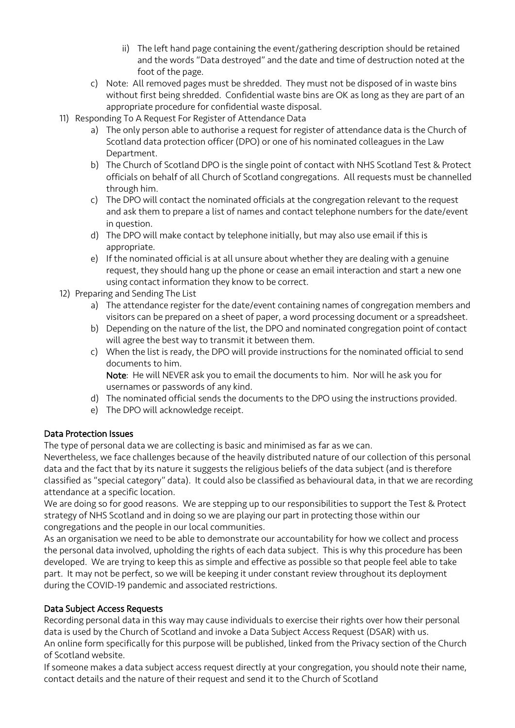- ii) The left hand page containing the event/gathering description should be retained and the words "Data destroyed" and the date and time of destruction noted at the foot of the page.
- c) Note: All removed pages must be shredded. They must not be disposed of in waste bins without first being shredded. Confidential waste bins are OK as long as they are part of an appropriate procedure for confidential waste disposal.
- 11) Responding To A Request For Register of Attendance Data
	- a) The only person able to authorise a request for register of attendance data is the Church of Scotland data protection officer (DPO) or one of his nominated colleagues in the Law Department.
	- b) The Church of Scotland DPO is the single point of contact with NHS Scotland Test & Protect officials on behalf of all Church of Scotland congregations. All requests must be channelled through him.
	- c) The DPO will contact the nominated officials at the congregation relevant to the request and ask them to prepare a list of names and contact telephone numbers for the date/event in question.
	- d) The DPO will make contact by telephone initially, but may also use email if this is appropriate.
	- request, they should hang up the phone or cease an email interaction and start a new one e) If the nominated official is at all unsure about whether they are dealing with a genuine using contact information they know to be correct.
- 12) Preparing and Sending The List
	- a) The attendance register for the date/event containing names of congregation members and visitors can be prepared on a sheet of paper, a word processing document or a spreadsheet.
	- b) Depending on the nature of the list, the DPO and nominated congregation point of contact will agree the best way to transmit it between them.
	- c) When the list is ready, the DPO will provide instructions for the nominated official to send documents to him.

 Note: He will NEVER ask you to email the documents to him. Nor will he ask you for usernames or passwords of any kind.

- d) The nominated official sends the documents to the DPO using the instructions provided.
- e) The DPO will acknowledge receipt.

## Data Protection Issues

The type of personal data we are collecting is basic and minimised as far as we can.

 Nevertheless, we face challenges because of the heavily distributed nature of our collection of this personal data and the fact that by its nature it suggests the religious beliefs of the data subject (and is therefore classified as "special category" data). It could also be classified as behavioural data, in that we are recording attendance at a specific location.

 We are doing so for good reasons. We are stepping up to our responsibilities to support the Test & Protect strategy of NHS Scotland and in doing so we are playing our part in protecting those within our congregations and the people in our local communities.

 As an organisation we need to be able to demonstrate our accountability for how we collect and process developed. We are trying to keep this as simple and effective as possible so that people feel able to take part. It may not be perfect, so we will be keeping it under constant review throughout its deployment the personal data involved, upholding the rights of each data subject. This is why this procedure has been during the COVID-19 pandemic and associated restrictions.

## Data Subject Access Requests

 Recording personal data in this way may cause individuals to exercise their rights over how their personal data is used by the Church of Scotland and invoke a Data Subject Access Request (DSAR) with us. An online form specifically for this purpose will be published, linked from the Privacy section of the Church of Scotland website.

If someone makes a data subject access request directly at your congregation, you should note their name, contact details and the nature of their request and send it to the Church of Scotland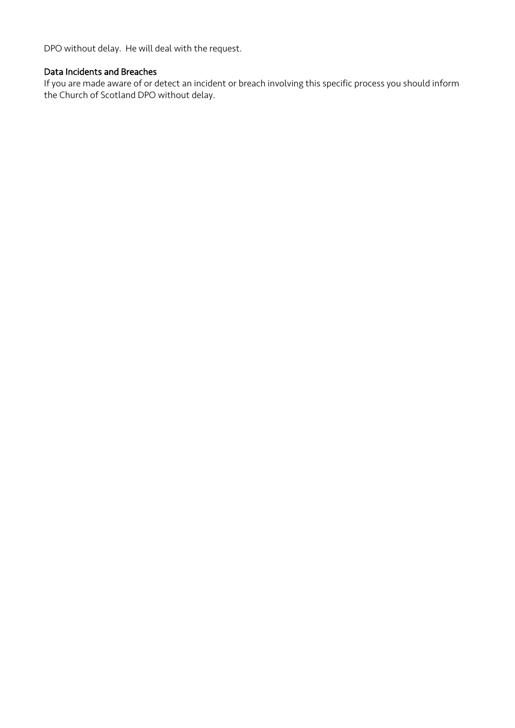DPO without delay. He will deal with the request.

#### Data Incidents and Breaches

 the Church of Scotland DPO without delay. If you are made aware of or detect an incident or breach involving this specific process you should inform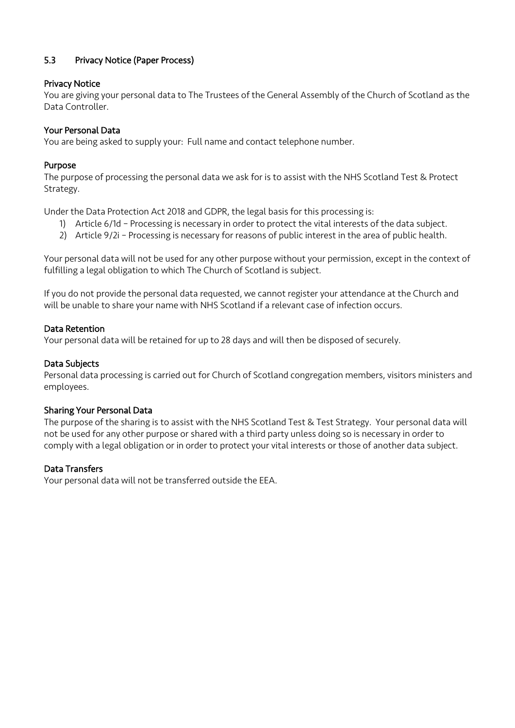# 5.3 Privacy Notice (Paper Process)

#### Privacy Notice

 You are giving your personal data to The Trustees of the General Assembly of the Church of Scotland as the Data Controller.

#### **Your Personal Data**

**Your Personal Data**<br>You are being asked to supply your: Full name and contact telephone number.

#### Purpose

The purpose of processing the personal data we ask for is to assist with the NHS Scotland Test & Protect Strategy.

Under the Data Protection Act 2018 and GDPR, the legal basis for this processing is:

- 1) Article 6/1d Processing is necessary in order to protect the vital interests of the data subject.
- 2) Article 9/2i Processing is necessary for reasons of public interest in the area of public health.

 Your personal data will not be used for any other purpose without your permission, except in the context of fulfilling a legal obligation to which The Church of Scotland is subject.

 will be unable to share your name with NHS Scotland if a relevant case of infection occurs. If you do not provide the personal data requested, we cannot register your attendance at the Church and

#### Data Retention

Your personal data will be retained for up to 28 days and will then be disposed of securely.

#### Data Subjects

 Personal data processing is carried out for Church of Scotland congregation members, visitors ministers and employees.

#### **Sharing Your Personal Data**

**Sharing Your Personal Data**<br>The purpose of the sharing is to assist with the NHS Scotland Test & Test Strategy. Your personal data will not be used for any other purpose or shared with a third party unless doing so is necessary in order to comply with a legal obligation or in order to protect your vital interests or those of another data subject.

#### Data Transfers

Your personal data will not be transferred outside the EEA.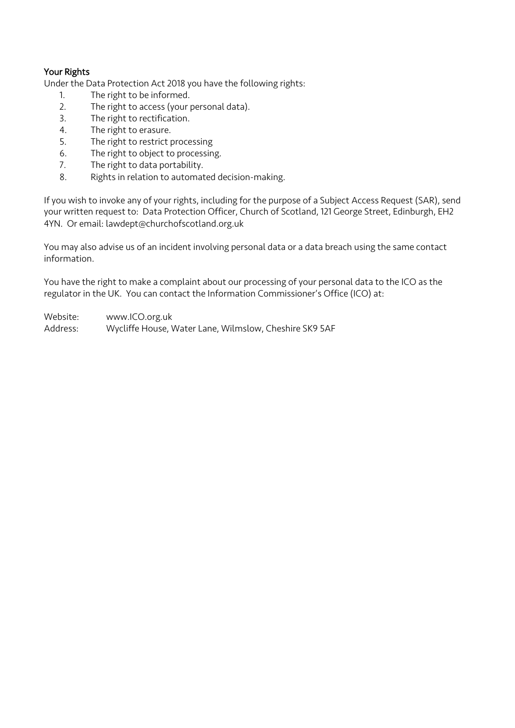# Your Rights

Under the Data Protection Act 2018 you have the following rights:

- 1. The right to be informed.
- 2. The right to access (your personal data).
- 3. The right to rectification.
- 4. The right to erasure.
- 5. The right to restrict processing
- 6. The right to object to processing.
- 7. The right to data portability.
- 8. Rights in relation to automated decision-making.

 your written request to: Data Protection Officer, Church of Scotland, 121 George Street, Edinburgh, EH2 4YN. Or email: lawdept@churchofscotland.org.uk If you wish to invoke any of your rights, including for the purpose of a Subject Access Request (SAR), send

 You may also advise us of an incident involving personal data or a data breach using the same contact information.

 You have the right to make a complaint about our processing of your personal data to the ICO as the regulator in the UK. You can contact the Information Commissioner's Office (ICO) at:

Website: <www.ICO.org.uk>

Address: Wycliffe House, Water Lane, Wilmslow, Cheshire SK9 5AF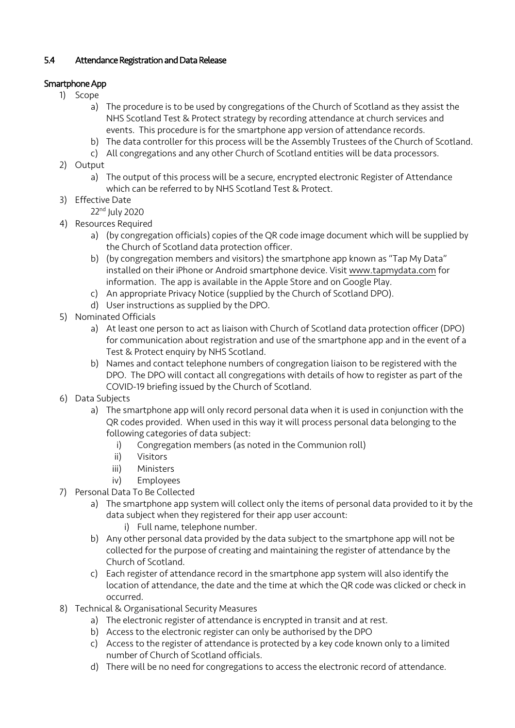# 5.4 Attendance Registration and Data Release

# Smartphone App

- 1) Scope
	- NHS Scotland Test & Protect strategy by recording attendance at church services and events. This procedure is for the smartphone app version of attendance records. a) The procedure is to be used by congregations of the Church of Scotland as they assist the
	- b) The data controller for this process will be the Assembly Trustees of the Church of Scotland.
	- c) All congregations and any other Church of Scotland entities will be data processors.
- 2) Output
	- a) The output of this process will be a secure, encrypted electronic Register of Attendance which can be referred to by NHS Scotland Test & Protect.
- 3) Effective Date
	- 22nd July 2020
- 4) Resources Required
	- a) (by congregation officials) copies of the QR code image document which will be supplied by the Church of Scotland data protection officer.
	- information. The app is available in the Apple Store and on Google Play. b) (by congregation members and visitors) the smartphone app known as "Tap My Data" installed on their iPhone or Android smartphone device. Visit <www.tapmydata.com> for
	- c) An appropriate Privacy Notice (supplied by the Church of Scotland DPO).
	- d) User instructions as supplied by the DPO.
- 5) Nominated Officials
	- a) At least one person to act as liaison with Church of Scotland data protection officer (DPO) for communication about registration and use of the smartphone app and in the event of a Test & Protect enquiry by NHS Scotland.
	- b) Names and contact telephone numbers of congregation liaison to be registered with the DPO. The DPO will contact all congregations with details of how to register as part of the COVID-19 briefing issued by the Church of Scotland.
- 6) Data Subjects
	- QR codes provided. When used in this way it will process personal data belonging to the a) The smartphone app will only record personal data when it is used in conjunction with the following categories of data subject:
		- i) Congregation members (as noted in the Communion roll)
		- ii) Visitors
		- iii) Ministers
		- iv) Employees
- 7) Personal Data To Be Collected
	- a) The smartphone app system will collect only the items of personal data provided to it by the data subject when they registered for their app user account:
		- i) Full name, telephone number.
	- b) Any other personal data provided by the data subject to the smartphone app will not be collected for the purpose of creating and maintaining the register of attendance by the Church of Scotland.
	- c) Each register of attendance record in the smartphone app system will also identify the location of attendance, the date and the time at which the QR code was clicked or check in occurred.
- 8) Technical & Organisational Security Measures
	- a) The electronic register of attendance is encrypted in transit and at rest.
	- b) Access to the electronic register can only be authorised by the DPO
	- c) Access to the register of attendance is protected by a key code known only to a limited number of Church of Scotland officials.
	- d) There will be no need for congregations to access the electronic record of attendance.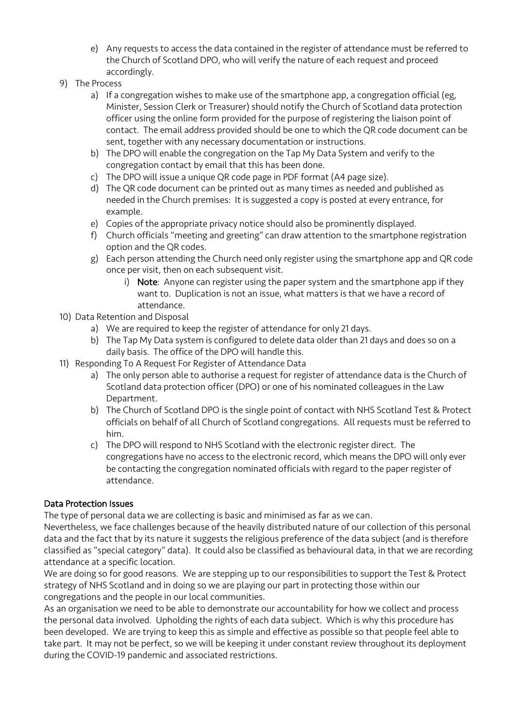- e) Any requests to access the data contained in the register of attendance must be referred to the Church of Scotland DPO, who will verify the nature of each request and proceed accordingly.
- 9) The Process
	- Minister, Session Clerk or Treasurer) should notify the Church of Scotland data protection officer using the online form provided for the purpose of registering the liaison point of contact. The email address provided should be one to which the QR code document can be a) If a congregation wishes to make use of the smartphone app, a congregation official (eg, sent, together with any necessary documentation or instructions.
	- b) The DPO will enable the congregation on the Tap My Data System and verify to the congregation contact by email that this has been done.
	- c) The DPO will issue a unique QR code page in PDF format (A4 page size).
	- needed in the Church premises: It is suggested a copy is posted at every entrance, for d) The QR code document can be printed out as many times as needed and published as example.
	- e) Copies of the appropriate privacy notice should also be prominently displayed.
	- f) Church officials "meeting and greeting" can draw attention to the smartphone registration option and the QR codes.
	- once per visit, then on each subsequent visit. g) Each person attending the Church need only register using the smartphone app and QR code
		- want to. Duplication is not an issue, what matters is that we have a record of i) Note: Anyone can register using the paper system and the smartphone app if they attendance.
- 10) Data Retention and Disposal
	- a) We are required to keep the register of attendance for only 21 days.
	- b) The Tap My Data system is configured to delete data older than 21 days and does so on a daily basis. The office of the DPO will handle this.
- 11) Responding To A Request For Register of Attendance Data
	- Scotland data protection officer (DPO) or one of his nominated colleagues in the Law a) The only person able to authorise a request for register of attendance data is the Church of Department.
	- b) The Church of Scotland DPO is the single point of contact with NHS Scotland Test & Protect officials on behalf of all Church of Scotland congregations. All requests must be referred to him.
	- c) The DPO will respond to NHS Scotland with the electronic register direct. The congregations have no access to the electronic record, which means the DPO will only ever be contacting the congregation nominated officials with regard to the paper register of attendance.

## Data Protection Issues

The type of personal data we are collecting is basic and minimised as far as we can.

 Nevertheless, we face challenges because of the heavily distributed nature of our collection of this personal data and the fact that by its nature it suggests the religious preference of the data subject (and is therefore classified as "special category" data). It could also be classified as behavioural data, in that we are recording attendance at a specific location.

 We are doing so for good reasons. We are stepping up to our responsibilities to support the Test & Protect strategy of NHS Scotland and in doing so we are playing our part in protecting those within our congregations and the people in our local communities.

 As an organisation we need to be able to demonstrate our accountability for how we collect and process the personal data involved. Upholding the rights of each data subject. Which is why this procedure has been developed. We are trying to keep this as simple and effective as possible so that people feel able to take part. It may not be perfect, so we will be keeping it under constant review throughout its deployment during the COVID-19 pandemic and associated restrictions.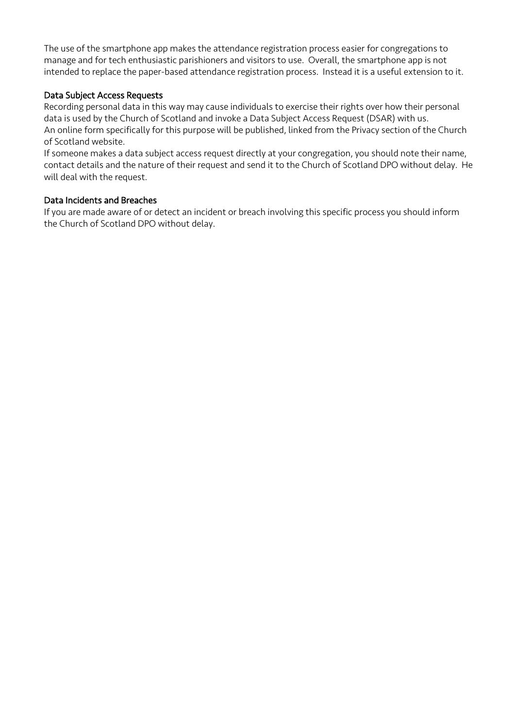The use of the smartphone app makes the attendance registration process easier for congregations to manage and for tech enthusiastic parishioners and visitors to use. Overall, the smartphone app is not intended to replace the paper-based attendance registration process. Instead it is a useful extension to it.

#### Data Subject Access Requests

 Recording personal data in this way may cause individuals to exercise their rights over how their personal data is used by the Church of Scotland and invoke a Data Subject Access Request (DSAR) with us. An online form specifically for this purpose will be published, linked from the Privacy section of the Church of Scotland website.

 If someone makes a data subject access request directly at your congregation, you should note their name, contact details and the nature of their request and send it to the Church of Scotland DPO without delay. He will deal with the request.

#### Data Incidents and Breaches

 the Church of Scotland DPO without delay. If you are made aware of or detect an incident or breach involving this specific process you should inform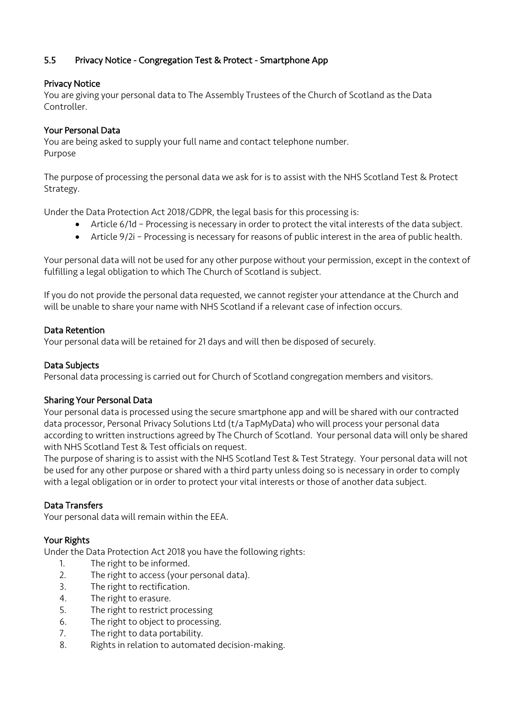# 5.5 Privacy Notice - Congregation Test & Protect - Smartphone App

# Privacy Notice

 You are giving your personal data to The Assembly Trustees of the Church of Scotland as the Data Controller.

#### Your Personal Data

**Your Personal Data**<br>You are being asked to supply your full name and contact telephone number. Purpose

 The purpose of processing the personal data we ask for is to assist with the NHS Scotland Test & Protect Strategy.

Under the Data Protection Act 2018/GDPR, the legal basis for this processing is:

- Article 6/1d Processing is necessary in order to protect the vital interests of the data subject.
- Article 9/2i Processing is necessary for reasons of public interest in the area of public health.

 Your personal data will not be used for any other purpose without your permission, except in the context of fulfilling a legal obligation to which The Church of Scotland is subject.

 will be unable to share your name with NHS Scotland if a relevant case of infection occurs. If you do not provide the personal data requested, we cannot register your attendance at the Church and

#### Data Retention

Your personal data will be retained for 21 days and will then be disposed of securely.

#### Data Subjects

Personal data processing is carried out for Church of Scotland congregation members and visitors.

#### Sharing Your Personal Data

 Your personal data is processed using the secure smartphone app and will be shared with our contracted data processor, Personal Privacy Solutions Ltd (t/a TapMyData) who will process your personal data according to written instructions agreed by The Church of Scotland. Your personal data will only be shared with NHS Scotland Test & Test officials on request.

 The purpose of sharing is to assist with the NHS Scotland Test & Test Strategy. Your personal data will not be used for any other purpose or shared with a third party unless doing so is necessary in order to comply with a legal obligation or in order to protect your vital interests or those of another data subject.

## Data Transfers

Your personal data will remain within the EEA.

## Your Rights

Under the Data Protection Act 2018 you have the following rights:

- 1. The right to be informed.
- 2. The right to access (your personal data).
- 3. The right to rectification.
- 4. The right to erasure.
- 5. The right to restrict processing
- 6. The right to object to processing.
- 7. The right to data portability.
- 8. Rights in relation to automated decision-making.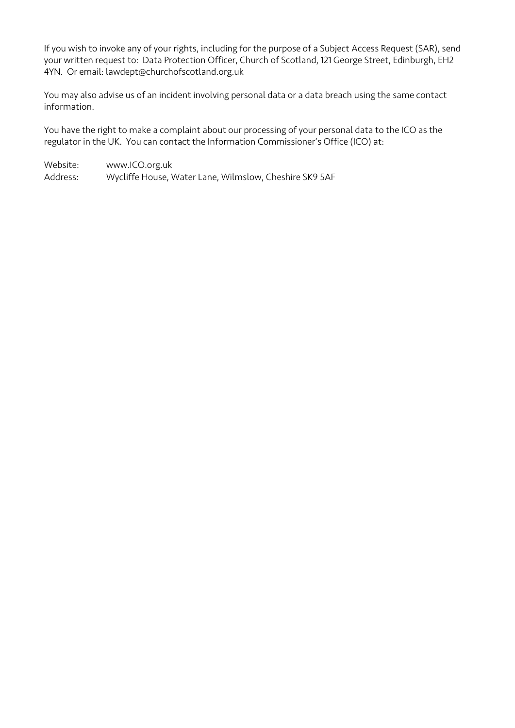your written request to: Data Protection Officer, Church of Scotland, 121 George Street, Edinburgh, EH2 4YN. Or email: lawdept@churchofscotland.org.uk If you wish to invoke any of your rights, including for the purpose of a Subject Access Request (SAR), send

 You may also advise us of an incident involving personal data or a data breach using the same contact information.

 You have the right to make a complaint about our processing of your personal data to the ICO as the regulator in the UK. You can contact the Information Commissioner's Office (ICO) at:

Website: Address: Wycliffe House, Water Lane, Wilmslow, Cheshire SK9 5AF <www.ICO.org.uk>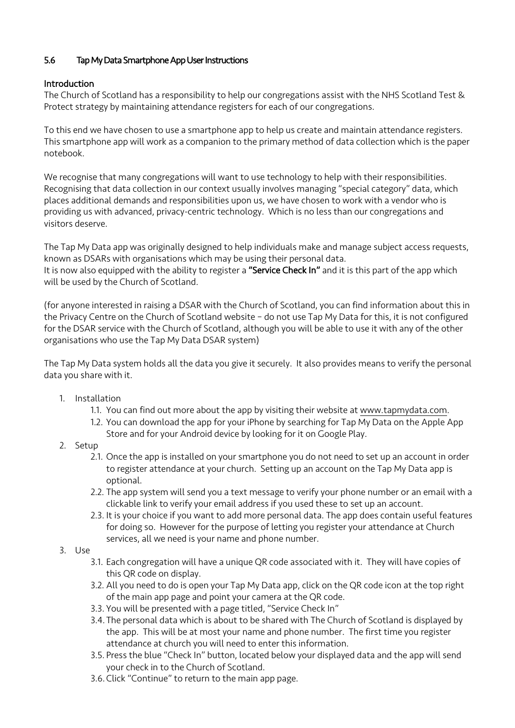#### 5.6 Tap My Data Smartphone App User Instructions

# Introduction

 The Church of Scotland has a responsibility to help our congregations assist with the NHS Scotland Test & Protect strategy by maintaining attendance registers for each of our congregations.

To this end we have chosen to use a smartphone app to help us create and maintain attendance registers. This smartphone app will work as a companion to the primary method of data collection which is the paper notebook.

 We recognise that many congregations will want to use technology to help with their responsibilities. Recognising that data collection in our context usually involves managing "special category" data, which providing us with advanced, privacy-centric technology. Which is no less than our congregations and places additional demands and responsibilities upon us, we have chosen to work with a vendor who is visitors deserve.

 will be used by the Church of Scotland. The Tap My Data app was originally designed to help individuals make and manage subject access requests, known as DSARs with organisations which may be using their personal data. It is now also equipped with the ability to register a "Service Check In" and it is this part of the app which

 (for anyone interested in raising a DSAR with the Church of Scotland, you can find information about this in the Privacy Centre on the Church of Scotland website – do not use Tap My Data for this, it is not configured for the DSAR service with the Church of Scotland, although you will be able to use it with any of the other organisations who use the Tap My Data DSAR system)

 The Tap My Data system holds all the data you give it securely. It also provides means to verify the personal data you share with it.

- 1. Installation
	- 1.1. You can find out more about the app by visiting their website at [www.tapmydata.com.](www.tapmydata.com)
	- 1.2. You can download the app for your iPhone by searching for Tap My Data on the Apple App Store and for your Android device by looking for it on Google Play.
- 2. Setup
	- 2.1. Once the app is installed on your smartphone you do not need to set up an account in order to register attendance at your church. Setting up an account on the Tap My Data app is optional.
	- 2.2. The app system will send you a text message to verify your phone number or an email with a clickable link to verify your email address if you used these to set up an account.
	- for doing so. However for the purpose of letting you register your attendance at Church services, all we need is your name and phone number. 2.3. It is your choice if you want to add more personal data. The app does contain useful features
- 3. Use
	- 3.1. Each congregation will have a unique QR code associated with it. They will have copies of this QR code on display.
	- 3.2. All you need to do is open your Tap My Data app, click on the QR code icon at the top right of the main app page and point your camera at the QR code.
	- 3.3. You will be presented with a page titled, "Service Check In"
	- 3.4. The personal data which is about to be shared with The Church of Scotland is displayed by the app. This will be at most your name and phone number. The first time you register attendance at church you will need to enter this information.
	- 3.5. Press the blue "Check In" button, located below your displayed data and the app will send your check in to the Church of Scotland.
	- 3.6. Click "Continue" to return to the main app page.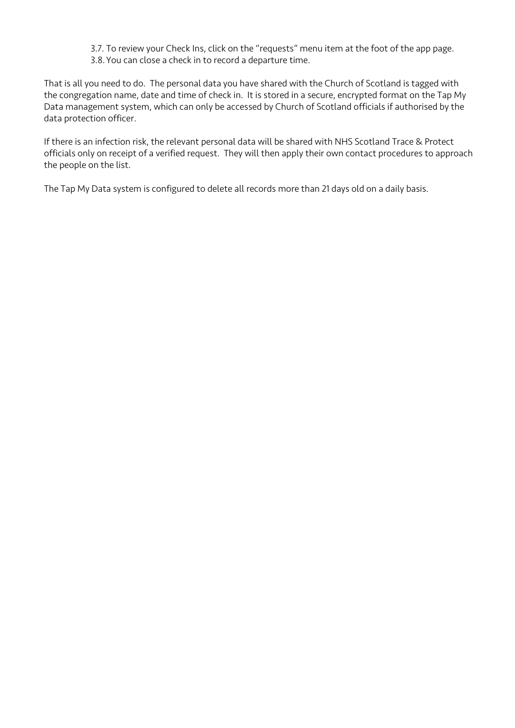- 3.7. To review your Check Ins, click on the "requests" menu item at the foot of the app page.
- 3.8. You can close a check in to record a departure time.

 That is all you need to do. The personal data you have shared with the Church of Scotland is tagged with the congregation name, date and time of check in. It is stored in a secure, encrypted format on the Tap My Data management system, which can only be accessed by Church of Scotland officials if authorised by the data protection officer.

 officials only on receipt of a verified request. They will then apply their own contact procedures to approach If there is an infection risk, the relevant personal data will be shared with NHS Scotland Trace & Protect the people on the list.

The Tap My Data system is configured to delete all records more than 21 days old on a daily basis.